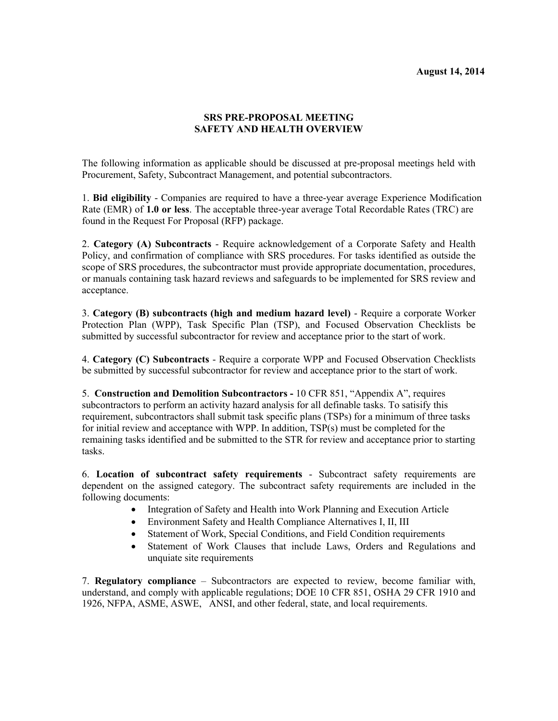## **August 14, 2014**

## **SRS PRE-PROPOSAL MEETING SAFETY AND HEALTH OVERVIEW**

The following information as applicable should be discussed at pre-proposal meetings held with Procurement, Safety, Subcontract Management, and potential subcontractors.

1. **Bid eligibility** - Companies are required to have a three-year average Experience Modification Rate (EMR) of **1.0 or less**. The acceptable three-year average Total Recordable Rates (TRC) are found in the Request For Proposal (RFP) package.

2. **Category (A) Subcontracts** - Require acknowledgement of a Corporate Safety and Health Policy, and confirmation of compliance with SRS procedures. For tasks identified as outside the scope of SRS procedures, the subcontractor must provide appropriate documentation, procedures, or manuals containing task hazard reviews and safeguards to be implemented for SRS review and acceptance.

3. **Category (B) subcontracts (high and medium hazard level)** - Require a corporate Worker Protection Plan (WPP), Task Specific Plan (TSP), and Focused Observation Checklists be submitted by successful subcontractor for review and acceptance prior to the start of work.

4. **Category (C) Subcontracts** - Require a corporate WPP and Focused Observation Checklists be submitted by successful subcontractor for review and acceptance prior to the start of work.

5. **Construction and Demolition Subcontractors -** 10 CFR 851, "Appendix A", requires subcontractors to perform an activity hazard analysis for all definable tasks. To satisify this requirement, subcontractors shall submit task specific plans (TSPs) for a minimum of three tasks for initial review and acceptance with WPP. In addition, TSP(s) must be completed for the remaining tasks identified and be submitted to the STR for review and acceptance prior to starting tasks.

6. **Location of subcontract safety requirements** - Subcontract safety requirements are dependent on the assigned category. The subcontract safety requirements are included in the following documents:

- Integration of Safety and Health into Work Planning and Execution Article
- Environment Safety and Health Compliance Alternatives I, II, III
- Statement of Work, Special Conditions, and Field Condition requirements
- Statement of Work Clauses that include Laws, Orders and Regulations and unquiate site requirements

7. **Regulatory compliance** – Subcontractors are expected to review, become familiar with, understand, and comply with applicable regulations; DOE 10 CFR 851, OSHA 29 CFR 1910 and 1926, NFPA, ASME, ASWE, ANSI, and other federal, state, and local requirements.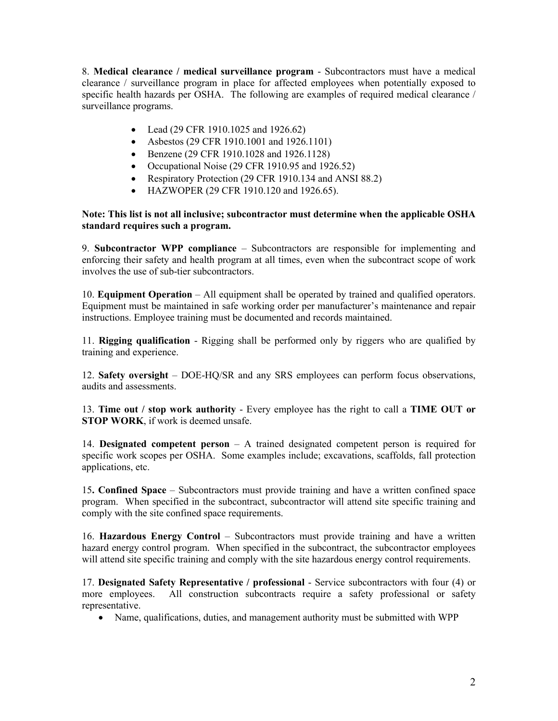8. **Medical clearance / medical surveillance program** - Subcontractors must have a medical clearance / surveillance program in place for affected employees when potentially exposed to specific health hazards per OSHA. The following are examples of required medical clearance / surveillance programs.

- Lead (29 CFR 1910.1025 and 1926.62)
- Asbestos (29 CFR 1910.1001 and 1926.1101)
- Benzene (29 CFR 1910.1028 and 1926.1128)
- Occupational Noise (29 CFR 1910.95 and 1926.52)
- Respiratory Protection (29 CFR 1910.134 and ANSI 88.2)
- HAZWOPER (29 CFR 1910.120 and 1926.65).

## **Note: This list is not all inclusive; subcontractor must determine when the applicable OSHA standard requires such a program.**

9. **Subcontractor WPP compliance** – Subcontractors are responsible for implementing and enforcing their safety and health program at all times, even when the subcontract scope of work involves the use of sub-tier subcontractors.

10. **Equipment Operation** – All equipment shall be operated by trained and qualified operators. Equipment must be maintained in safe working order per manufacturer's maintenance and repair instructions. Employee training must be documented and records maintained.

11. **Rigging qualification** - Rigging shall be performed only by riggers who are qualified by training and experience.

12. **Safety oversight** – DOE-HQ/SR and any SRS employees can perform focus observations, audits and assessments.

13. **Time out / stop work authority** - Every employee has the right to call a **TIME OUT or STOP WORK**, if work is deemed unsafe.

14. **Designated competent person** – A trained designated competent person is required for specific work scopes per OSHA. Some examples include; excavations, scaffolds, fall protection applications, etc.

15**. Confined Space** – Subcontractors must provide training and have a written confined space program. When specified in the subcontract, subcontractor will attend site specific training and comply with the site confined space requirements.

16. **Hazardous Energy Control** – Subcontractors must provide training and have a written hazard energy control program. When specified in the subcontract, the subcontractor employees will attend site specific training and comply with the site hazardous energy control requirements.

17. **Designated Safety Representative / professional** - Service subcontractors with four (4) or more employees. All construction subcontracts require a safety professional or safety representative.

Name, qualifications, duties, and management authority must be submitted with WPP